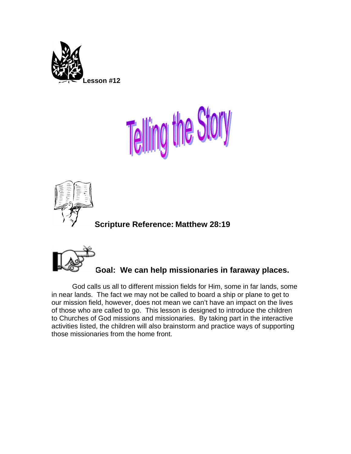





**Scripture Reference: Matthew 28:19** 



God calls us all to different mission fields for Him, some in far lands, some in near lands. The fact we may not be called to board a ship or plane to get to our mission field, however, does not mean we can't have an impact on the lives of those who are called to go. This lesson is designed to introduce the children to Churches of God missions and missionaries. By taking part in the interactive activities listed, the children will also brainstorm and practice ways of supporting those missionaries from the home front.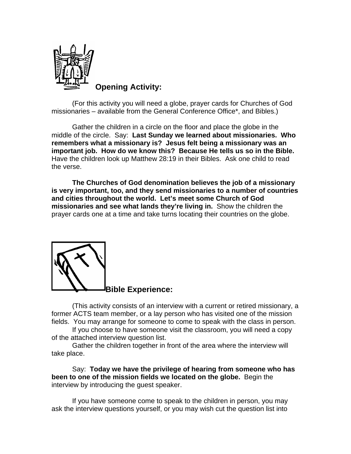

**Opening Activity:** 

(For this activity you will need a globe, prayer cards for Churches of God missionaries – available from the General Conference Office\*, and Bibles.)

Gather the children in a circle on the floor and place the globe in the middle of the circle. Say: **Last Sunday we learned about missionaries. Who remembers what a missionary is? Jesus felt being a missionary was an important job. How do we know this? Because He tells us so in the Bible.**  Have the children look up Matthew 28:19 in their Bibles. Ask one child to read the verse.

**The Churches of God denomination believes the job of a missionary is very important, too, and they send missionaries to a number of countries and cities throughout the world. Let's meet some Church of God missionaries and see what lands they're living in.** Show the children the prayer cards one at a time and take turns locating their countries on the globe.



(This activity consists of an interview with a current or retired missionary, a former ACTS team member, or a lay person who has visited one of the mission fields. You may arrange for someone to come to speak with the class in person.

If you choose to have someone visit the classroom, you will need a copy of the attached interview question list.

Gather the children together in front of the area where the interview will take place.

 Say: **Today we have the privilege of hearing from someone who has been to one of the mission fields we located on the globe.** Begin the interview by introducing the guest speaker.

If you have someone come to speak to the children in person, you may ask the interview questions yourself, or you may wish cut the question list into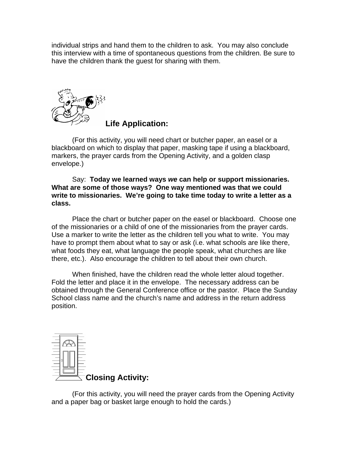individual strips and hand them to the children to ask. You may also conclude this interview with a time of spontaneous questions from the children. Be sure to have the children thank the guest for sharing with them.



**Life Application:** 

(For this activity, you will need chart or butcher paper, an easel or a blackboard on which to display that paper, masking tape if using a blackboard, markers, the prayer cards from the Opening Activity, and a golden clasp envelope.)

 Say: **Today we learned ways** *we* **can help or support missionaries. What are some of those ways? One way mentioned was that we could write to missionaries. We're going to take time today to write a letter as a class.** 

Place the chart or butcher paper on the easel or blackboard. Choose one of the missionaries or a child of one of the missionaries from the prayer cards. Use a marker to write the letter as the children tell you what to write. You may have to prompt them about what to say or ask (i.e. what schools are like there, what foods they eat, what language the people speak, what churches are like there, etc.). Also encourage the children to tell about their own church.

When finished, have the children read the whole letter aloud together. Fold the letter and place it in the envelope. The necessary address can be obtained through the General Conference office or the pastor. Place the Sunday School class name and the church's name and address in the return address position.



(For this activity, you will need the prayer cards from the Opening Activity and a paper bag or basket large enough to hold the cards.)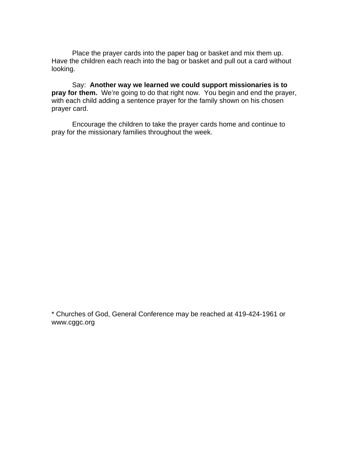Place the prayer cards into the paper bag or basket and mix them up. Have the children each reach into the bag or basket and pull out a card without looking.

 Say: **Another way we learned we could support missionaries is to pray for them.** We're going to do that right now. You begin and end the prayer, with each child adding a sentence prayer for the family shown on his chosen prayer card.

 Encourage the children to take the prayer cards home and continue to pray for the missionary families throughout the week.

\* Churches of God, General Conference may be reached at 419-424-1961 or www.cggc.org